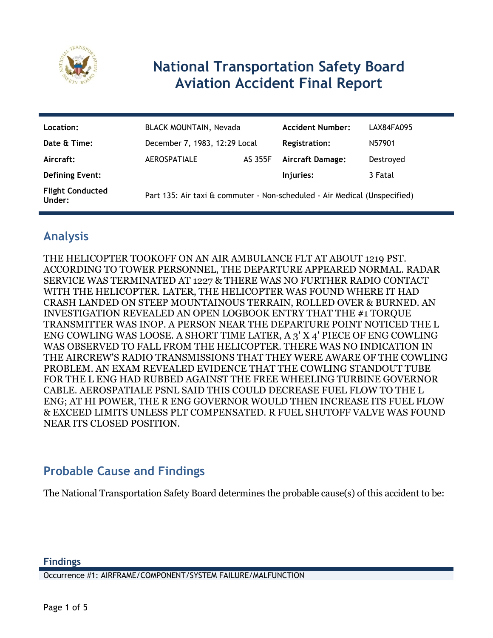

# **National Transportation Safety Board Aviation Accident Final Report**

| Location:                         | <b>BLACK MOUNTAIN, Nevada</b>                                             |         | <b>Accident Number:</b> | LAX84FA095 |
|-----------------------------------|---------------------------------------------------------------------------|---------|-------------------------|------------|
| Date & Time:                      | December 7, 1983, 12:29 Local                                             |         | <b>Registration:</b>    | N57901     |
| Aircraft:                         | <b>AEROSPATIALE</b>                                                       | AS 355F | <b>Aircraft Damage:</b> | Destroyed  |
| <b>Defining Event:</b>            |                                                                           |         | Injuries:               | 3 Fatal    |
| <b>Flight Conducted</b><br>Under: | Part 135: Air taxi & commuter - Non-scheduled - Air Medical (Unspecified) |         |                         |            |

# **Analysis**

THE HELICOPTER TOOKOFF ON AN AIR AMBULANCE FLT AT ABOUT 1219 PST. ACCORDING TO TOWER PERSONNEL, THE DEPARTURE APPEARED NORMAL. RADAR SERVICE WAS TERMINATED AT 1227 & THERE WAS NO FURTHER RADIO CONTACT WITH THE HELICOPTER. LATER, THE HELICOPTER WAS FOUND WHERE IT HAD CRASH LANDED ON STEEP MOUNTAINOUS TERRAIN, ROLLED OVER & BURNED. AN INVESTIGATION REVEALED AN OPEN LOGBOOK ENTRY THAT THE #1 TORQUE TRANSMITTER WAS INOP. A PERSON NEAR THE DEPARTURE POINT NOTICED THE L ENG COWLING WAS LOOSE. A SHORT TIME LATER, A 3' X 4' PIECE OF ENG COWLING WAS OBSERVED TO FALL FROM THE HELICOPTER. THERE WAS NO INDICATION IN THE AIRCREW'S RADIO TRANSMISSIONS THAT THEY WERE AWARE OF THE COWLING PROBLEM. AN EXAM REVEALED EVIDENCE THAT THE COWLING STANDOUT TUBE FOR THE L ENG HAD RUBBED AGAINST THE FREE WHEELING TURBINE GOVERNOR CABLE. AEROSPATIALE PSNL SAID THIS COULD DECREASE FUEL FLOW TO THE L ENG; AT HI POWER, THE R ENG GOVERNOR WOULD THEN INCREASE ITS FUEL FLOW & EXCEED LIMITS UNLESS PLT COMPENSATED. R FUEL SHUTOFF VALVE WAS FOUND NEAR ITS CLOSED POSITION.

### **Probable Cause and Findings**

The National Transportation Safety Board determines the probable cause(s) of this accident to be:

Occurrence #1: AIRFRAME/COMPONENT/SYSTEM FAILURE/MALFUNCTION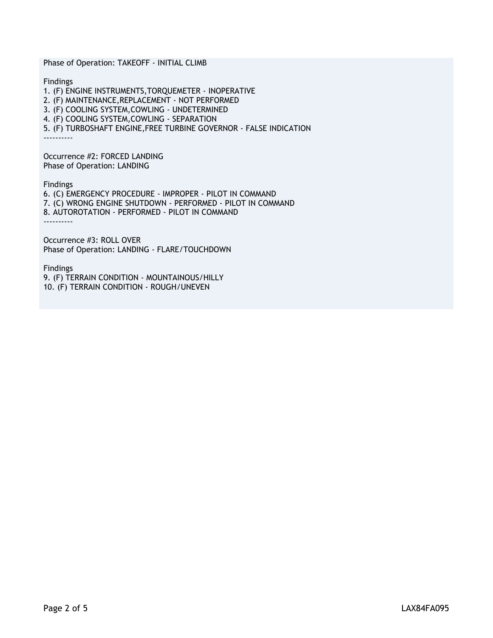Phase of Operation: TAKEOFF - INITIAL CLIMB Findings 1. (F) ENGINE INSTRUMENTS,TORQUEMETER - INOPERATIVE 2. (F) MAINTENANCE,REPLACEMENT - NOT PERFORMED 3. (F) COOLING SYSTEM,COWLING - UNDETERMINED 4. (F) COOLING SYSTEM,COWLING - SEPARATION 5. (F) TURBOSHAFT ENGINE,FREE TURBINE GOVERNOR - FALSE INDICATION ---------- Occurrence #2: FORCED LANDING Phase of Operation: LANDING Findings 6. (C) EMERGENCY PROCEDURE - IMPROPER - PILOT IN COMMAND 7. (C) WRONG ENGINE SHUTDOWN - PERFORMED - PILOT IN COMMAND 8. AUTOROTATION - PERFORMED - PILOT IN COMMAND ---------- Occurrence #3: ROLL OVER Phase of Operation: LANDING - FLARE/TOUCHDOWN

Findings

9. (F) TERRAIN CONDITION - MOUNTAINOUS/HILLY 10. (F) TERRAIN CONDITION - ROUGH/UNEVEN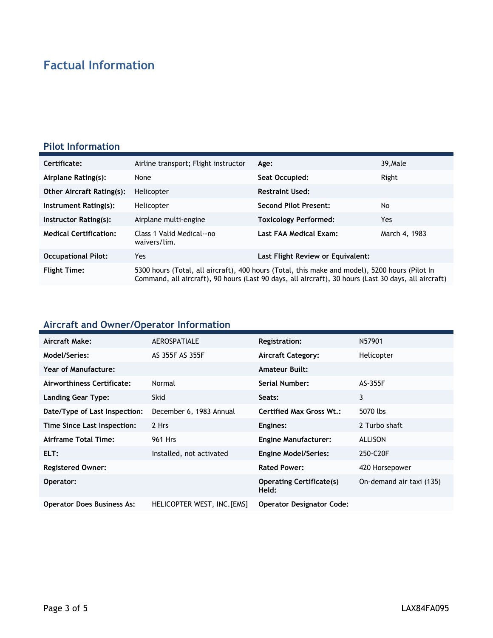# **Factual Information**

#### **Pilot Information**

| Certificate:                     | Airline transport; Flight instructor                                                                                                                                                                   | Age:                              | 39, Male      |
|----------------------------------|--------------------------------------------------------------------------------------------------------------------------------------------------------------------------------------------------------|-----------------------------------|---------------|
| Airplane Rating(s):              | None                                                                                                                                                                                                   | Seat Occupied:                    | Right         |
| <b>Other Aircraft Rating(s):</b> | Helicopter                                                                                                                                                                                             | <b>Restraint Used:</b>            |               |
| Instrument Rating(s):            | Helicopter                                                                                                                                                                                             | <b>Second Pilot Present:</b>      | No            |
| Instructor Rating(s):            | Airplane multi-engine                                                                                                                                                                                  | Toxicology Performed:             | Yes.          |
| <b>Medical Certification:</b>    | Class 1 Valid Medical--no<br>waivers/lim.                                                                                                                                                              | Last FAA Medical Exam:            | March 4, 1983 |
| <b>Occupational Pilot:</b>       | Yes                                                                                                                                                                                                    | Last Flight Review or Equivalent: |               |
| <b>Flight Time:</b>              | 5300 hours (Total, all aircraft), 400 hours (Total, this make and model), 5200 hours (Pilot In<br>Command, all aircraft), 90 hours (Last 90 days, all aircraft), 30 hours (Last 30 days, all aircraft) |                                   |               |

### **Aircraft and Owner/Operator Information**

| Aircraft Make:                    | <b>AEROSPATIALE</b>         | Registration:                            | N57901                   |
|-----------------------------------|-----------------------------|------------------------------------------|--------------------------|
| Model/Series:                     | AS 355F AS 355F             | <b>Aircraft Category:</b>                | Helicopter               |
| Year of Manufacture:              |                             | <b>Amateur Built:</b>                    |                          |
| Airworthiness Certificate:        | Normal                      | <b>Serial Number:</b>                    | AS-355F                  |
| Landing Gear Type:                | <b>Skid</b>                 | Seats:                                   | 3                        |
| Date/Type of Last Inspection:     | December 6, 1983 Annual     | Certified Max Gross Wt.:                 | 5070 lbs                 |
| Time Since Last Inspection:       | 2 Hrs                       | Engines:                                 | 2 Turbo shaft            |
| Airframe Total Time:              | 961 Hrs                     | <b>Engine Manufacturer:</b>              | <b>ALLISON</b>           |
| ELT:                              | Installed, not activated    | <b>Engine Model/Series:</b>              | 250-C20F                 |
| <b>Registered Owner:</b>          |                             | <b>Rated Power:</b>                      | 420 Horsepower           |
| Operator:                         |                             | <b>Operating Certificate(s)</b><br>Held: | On-demand air taxi (135) |
| <b>Operator Does Business As:</b> | HELICOPTER WEST, INC. [EMS] | <b>Operator Designator Code:</b>         |                          |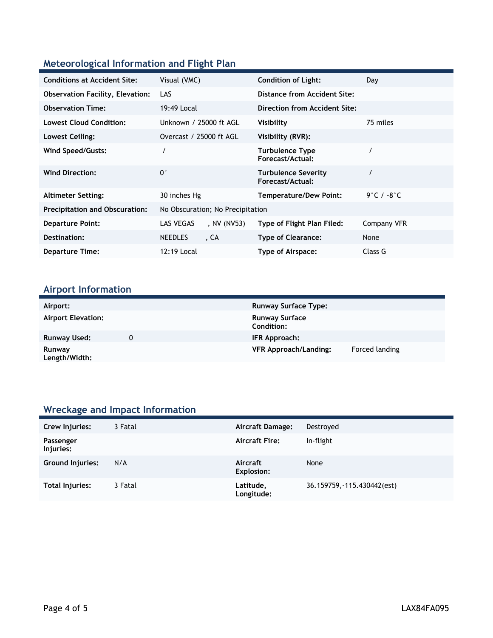### **Meteorological Information and Flight Plan**

| <b>Conditions at Accident Site:</b>     | Visual (VMC)                     | <b>Condition of Light:</b>                     | Day                         |
|-----------------------------------------|----------------------------------|------------------------------------------------|-----------------------------|
| <b>Observation Facility, Elevation:</b> | LAS                              | Distance from Accident Site:                   |                             |
| <b>Observation Time:</b>                | 19:49 Local                      | Direction from Accident Site:                  |                             |
| <b>Lowest Cloud Condition:</b>          | Unknown / 25000 ft AGL           | Visibility                                     | 75 miles                    |
| Lowest Ceiling:                         | Overcast / 25000 ft AGL          | Visibility (RVR):                              |                             |
| Wind Speed/Gusts:                       |                                  | <b>Turbulence Type</b><br>Forecast/Actual:     |                             |
| <b>Wind Direction:</b>                  | $0^{\circ}$                      | <b>Turbulence Severity</b><br>Forecast/Actual: |                             |
| <b>Altimeter Setting:</b>               | 30 inches Hg                     | <b>Temperature/Dew Point:</b>                  | $9^\circ$ C / -8 $^\circ$ C |
| <b>Precipitation and Obscuration:</b>   | No Obscuration; No Precipitation |                                                |                             |
| <b>Departure Point:</b>                 | LAS VEGAS<br>, NV (NV53)         | Type of Flight Plan Filed:                     | Company VFR                 |
| Destination:                            | <b>NEEDLES</b><br>. CA           | <b>Type of Clearance:</b>                      | None                        |
| <b>Departure Time:</b>                  | 12:19 Local                      | Type of Airspace:                              | Class G                     |

# **Airport Information**

| Airport:                  | <b>Runway Surface Type:</b>         |                |
|---------------------------|-------------------------------------|----------------|
| <b>Airport Elevation:</b> | <b>Runway Surface</b><br>Condition: |                |
| Runway Used:              | IFR Approach:                       |                |
| Runway<br>Length/Width:   | <b>VFR Approach/Landing:</b>        | Forced landing |

# **Wreckage and Impact Information**

| Crew Injuries:         | 3 Fatal | Aircraft Damage:        | Destroyed                   |
|------------------------|---------|-------------------------|-----------------------------|
| Passenger<br>Injuries: |         | <b>Aircraft Fire:</b>   | In-flight                   |
| Ground Injuries:       | N/A     | Aircraft<br>Explosion:  | None                        |
| Total Injuries:        | 3 Fatal | Latitude,<br>Longitude: | 36.159759, -115.430442(est) |